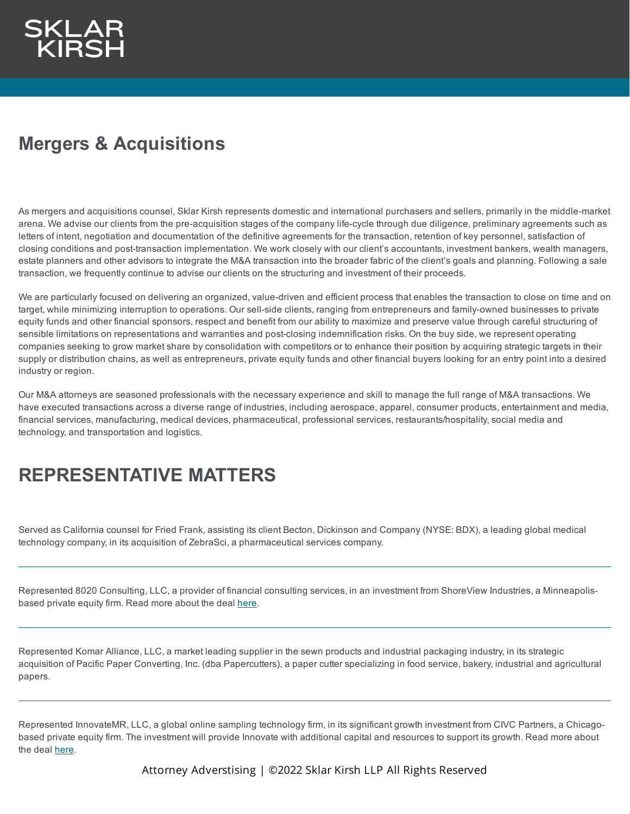## **Mergers & Acquisitions**

As mergers and acquisitions counsel, Sklar Kirsh represents domestic and international purchasers and sellers, primarily in the middle-market arena. We advise our clients from the pre-acquisition stages of the company life-cycle through due diligence, preliminary agreements such as letters of intent, negotiation and documentation of the definitive agreements for the transaction, retention of key personnel, satisfaction of closing conditions and post-transaction implementation. We work closely with our client's accountants, investment bankers, wealth managers, estate planners and other advisors to integrate the M&A transaction into the broader fabric of the client's goals and planning. Following a sale transaction, we frequently continue to advise our clients on the structuring and investment of their proceeds.

We are particularly focused on delivering an organized, value-driven and efficient process that enables the transaction to close on time and on target, while minimizing interruption to operations. Our sell-side clients, ranging from entrepreneurs and family-owned businesses to private equity funds and other financial sponsors, respect and benefit from our ability to maximize and preserve value through careful structuring of sensible limitations on representations and warranties and post-closing indemnification risks. On the buy side, we represent operating companies seeking to grow market share by consolidation with competitors or to enhance their position by acquiring strategic targets in their supply or distribution chains, as well as entrepreneurs, private equity funds and other financial buyers looking for an entry point into a desired industry or region.

Our M&A attorneys are seasoned professionals with the necessary experience and skill to manage the full range of M&A transactions. We have executed transactions across a diverse range of industries, including aerospace, apparel, consumer products, entertainment and media, financial services, manufacturing, medical devices, pharmaceutical, professional services, restaurants/hospitality, social media and technology, and transportation and logistics.

## **REPRESENTATIVE MATTERS**

Served as California counsel for Fried Frank, assisting its client Becton, Dickinson and Company (NYSE: BDX), a leading global medical technology company, in its acquisition of ZebraSci, a pharmaceutical services company.

Represented 8020 Consulting, LLC, a provider of financial consulting services, in an investment from ShoreView Industries, a Minneapolisbased private equity firm. Read more about the deal [here.](https://www.shoreview.com/news_events/shoreview-completes-latest-business-services-investment/)

Represented Komar Alliance, LLC, a market leading supplier in the sewn products and industrial packaging industry, in its strategic acquisition of Pacific Paper Converting, Inc. (dba Papercutters), a paper cutter specializing in food service, bakery, industrial and agricultural papers.

Represented InnovateMR, LLC, a global online sampling technology firm, in its significant growth investment from CIVC Partners, a Chicagobased private equity firm. The investment will provide Innovate with additional capital and resources to support its growth. Read more about the deal [here](https://www.civc.com/civc-partners-announces-investment-in-innovatemr-to-support-continued-growth/).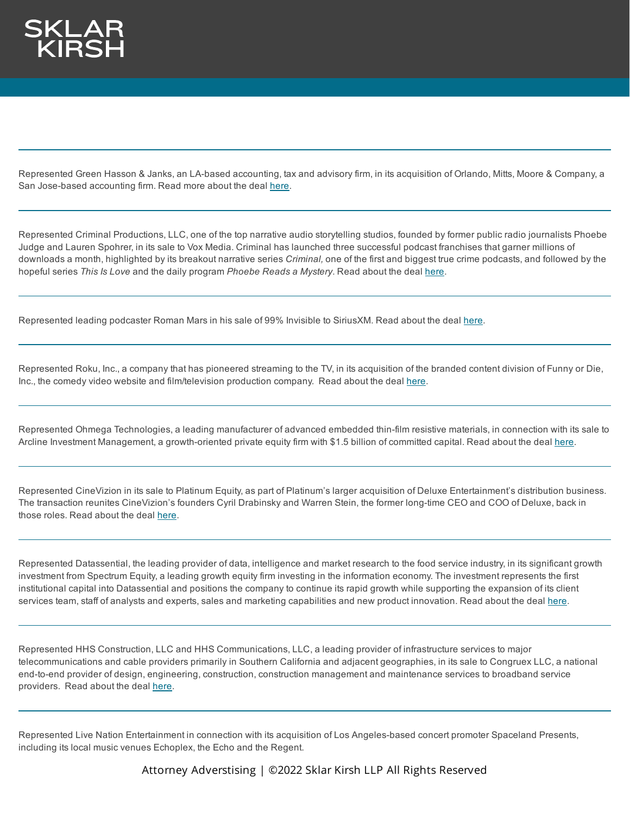Represented Green Hasson & Janks, an LA-based accounting, tax and advisory firm, in its acquisition of Orlando, Mitts, Moore & Company, a San Jose-based accounting firm. Read more about the deal [here](https://www.ghjadvisors.com/marketplace/news/ghj-merges-in-northern-california-accounting-firm-orlando-mitts-moore-and-company).

Represented Criminal Productions, LLC, one of the top narrative audio storytelling studios, founded by former public radio journalists Phoebe Judge and Lauren Spohrer, in its sale to Vox Media. Criminal has launched three successful podcast franchises that garner millions of downloads a month, highlighted by its breakout narrative series *Criminal,* one of the first and biggest true crime podcasts, and followed by the hopeful series *This Is Love* and the daily program *Phoebe Reads a Mystery*. Read about the deal [here](https://www.prnewswire.com/news-releases/sklar-kirsh-guides-criminal-productions-to-new-home-at-vox-media-301431005.html?tc=eml_cleartime).

Represented leading podcaster Roman Mars in his sale of 99% Invisible to SiriusXM. Read about the deal [here.](https://www.prnewswire.com/news-releases/sklar-kirsh-represents-leading-podcaster-roman-mars-in-sale-to-siriusxm-301290096.html?tc=eml_cleartime)

Represented Roku, Inc., a company that has pioneered streaming to the TV, in its acquisition of the branded content division of Funny or Die, Inc., the comedy video website and film/television production company. Read about the deal [here](https://newsroom.roku.com/news/2021/03/roku-launches-advertising-brand-studio-ahead-of-tv-upfronts-/hxjafysk-1616480761).

Represented Ohmega Technologies, a leading manufacturer of advanced embedded thin-film resistive materials, in connection with its sale to Arcline Investment Management, a growth-oriented private equity firm with \$1.5 billion of committed capital. Read about the deal [here](http://pcb.iconnect007.com/index.php/article/125918/arcline-investment-management-acquires-ohmega-technologies/125921/?skin=pcb#125918.).

Represented CineVizion in its sale to Platinum Equity, as part of Platinum's larger acquisition of Deluxe Entertainment's distribution business. The transaction reunites CineVizion's founders Cyril Drabinsky and Warren Stein, the former long-time CEO and COO of Deluxe, back in those roles. Read about the deal [here.](https://www.prnewswire.com/news-releases/platinum-equity-expands-entertainment-portfolio-with-acquisition-of-deluxe-entertainments-distribution-business-301087068.html)

Represented Datassential, the leading provider of data, intelligence and market research to the food service industry, in its significant growth investment from Spectrum Equity, a leading growth equity firm investing in the information economy. The investment represents the first institutional capital into Datassential and positions the company to continue its rapid growth while supporting the expansion of its client services team, staff of analysts and experts, sales and marketing capabilities and new product innovation. Read about the deal [here](https://www.businesswire.com/news/home/20190924005110/en/Sklar-Kirsh-Guides-Datassential-Transformational-Investment-Spectrum).

Represented HHS Construction, LLC and HHS Communications, LLC, a leading provider of infrastructure services to major telecommunications and cable providers primarily in Southern California and adjacent geographies, in its sale to Congruex LLC, a national end-to-end provider of design, engineering, construction, construction management and maintenance services to broadband service providers. Read about the deal [here](https://www.sklarkirsh.com/wp-content/uploads/2019/08/EQUINOX-DJ-8-13-191.pdf).

Represented Live Nation Entertainment in connection with its acquisition of Los Angeles-based concert promoter Spaceland Presents, including its local music venues Echoplex, the Echo and the Regent.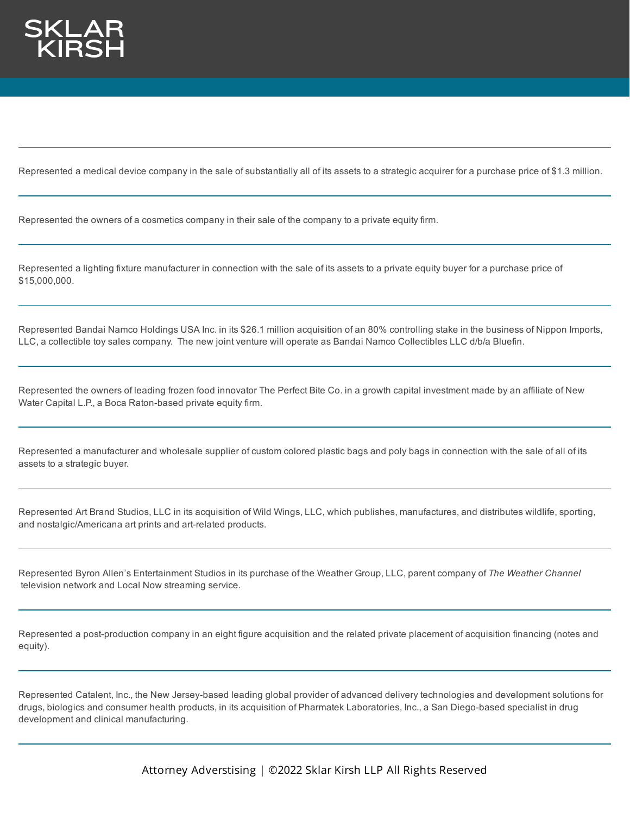

Represented a medical device company in the sale of substantially all of its assets to a strategic acquirer for a purchase price of \$1.3 million.

Represented the owners of a cosmetics company in their sale of the company to a private equity firm.

Represented a lighting fixture manufacturer in connection with the sale of its assets to a private equity buyer for a purchase price of \$15,000,000.

Represented Bandai Namco Holdings USA Inc. in its \$26.1 million acquisition of an 80% controlling stake in the business of Nippon Imports, LLC, a collectible toy sales company. The new joint venture will operate as Bandai Namco Collectibles LLC d/b/a Bluefin.

Represented the owners of leading frozen food innovator The Perfect Bite Co. in a growth capital investment made by an affiliate of New Water Capital L.P., a Boca Raton-based private equity firm.

Represented a manufacturer and wholesale supplier of custom colored plastic bags and poly bags in connection with the sale of all of its assets to a strategic buyer.

Represented Art Brand Studios, LLC in its acquisition of Wild Wings, LLC, which publishes, manufactures, and distributes wildlife, sporting, and nostalgic/Americana art prints and art-related products.

Represented Byron Allen's Entertainment Studios in its purchase of the Weather Group, LLC, parent company of *The Weather Channel* television network and Local Now streaming service.

Represented a post-production company in an eight figure acquisition and the related private placement of acquisition financing (notes and equity).

Represented Catalent, Inc., the New Jersey-based leading global provider of advanced delivery technologies and development solutions for drugs, biologics and consumer health products, in its acquisition of Pharmatek Laboratories, Inc., a San Diego-based specialist in drug development and clinical manufacturing.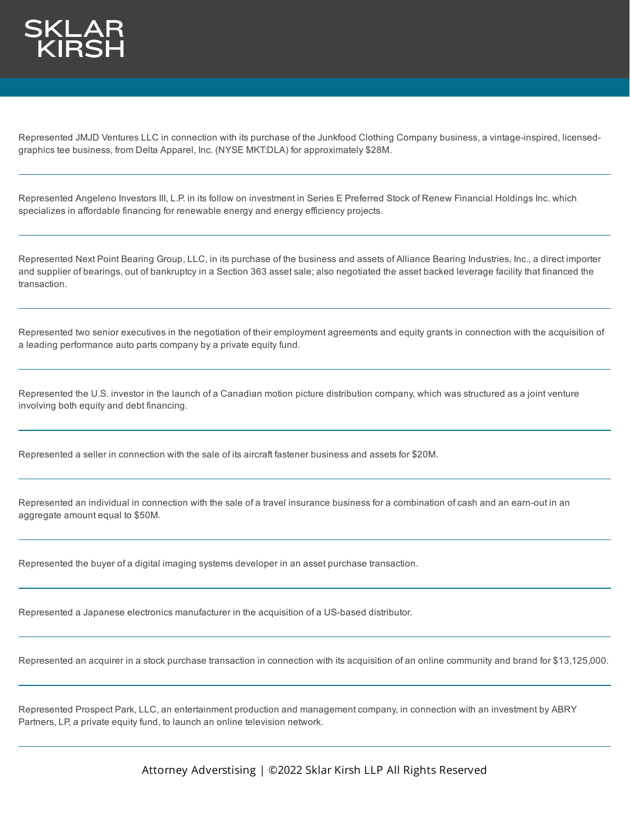

Represented JMJD Ventures LLC in connection with its purchase of the Junkfood Clothing Company business, a vintage-inspired, licensedgraphics tee business, from Delta Apparel, Inc. (NYSE MKT:DLA) for approximately \$28M.

Represented Angeleno Investors III, L.P. in its follow on investment in Series E Preferred Stock of Renew Financial Holdings Inc. which specializes in affordable financing for renewable energy and energy efficiency projects.

Represented Next Point Bearing Group, LLC, in its purchase of the business and assets of Alliance Bearing Industries, Inc., a direct importer and supplier of bearings, out of bankruptcy in a Section 363 asset sale; also negotiated the asset backed leverage facility that financed the transaction.

Represented two senior executives in the negotiation of their employment agreements and equity grants in connection with the acquisition of a leading performance auto parts company by a private equity fund.

Represented the U.S. investor in the launch of a Canadian motion picture distribution company, which was structured as a joint venture involving both equity and debt financing.

Represented a seller in connection with the sale of its aircraft fastener business and assets for \$20M.

Represented an individual in connection with the sale of a travel insurance business for a combination of cash and an earn-out in an aggregate amount equal to \$50M.

Represented the buyer of a digital imaging systems developer in an asset purchase transaction.

Represented a Japanese electronics manufacturer in the acquisition of a US-based distributor.

Represented an acquirer in a stock purchase transaction in connection with its acquisition of an online community and brand for \$13,125,000.

Represented Prospect Park, LLC, an entertainment production and management company, in connection with an investment by ABRY Partners, LP, a private equity fund, to launch an online television network.